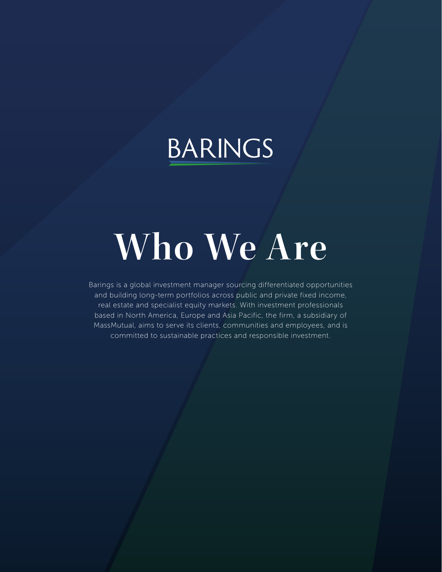## **BARINGS**

# **Who We Are**

Barings is a global investment manager sourcing differentiated opportunities and building long-term portfolios across public and private fixed income, real estate and specialist equity markets. With investment professionals based in North America, Europe and Asia Pacific, the firm, a subsidiary of MassMutual, aims to serve its clients, communities and employees, and is committed to sustainable practices and responsible investment.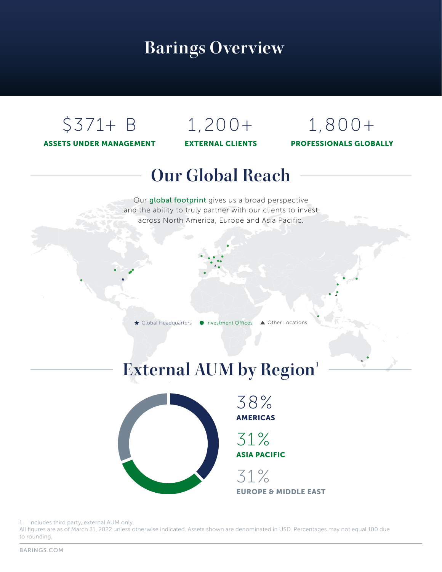### **Barings Overview**

### \$371+ B

ASSETS UNDER MANAGEMENT

### 1,200+

EXTERNAL CLIENTS

### PROFESSIONALS GLOBALLY 1,800+

### **Our Global Reach**

Our global footprint gives us a broad perspective and the ability to truly partner with our clients to invest across North America, Europe and Asia Pacific.

Global Headquarters  $\bullet$  Investment Offices  $\blacktriangle$  Other Locations

### **External AUM by Region**<sup>1</sup>



AMERICAS 38%

ASIA PACIFIC 31%

EUROPE & MIDDLE EAST 31%

1. Includes third party, external AUM only.

All figures are as of March 31, 2022 unless otherwise indicated. Assets shown are denominated in USD. Percentages may not equal 100 due to rounding.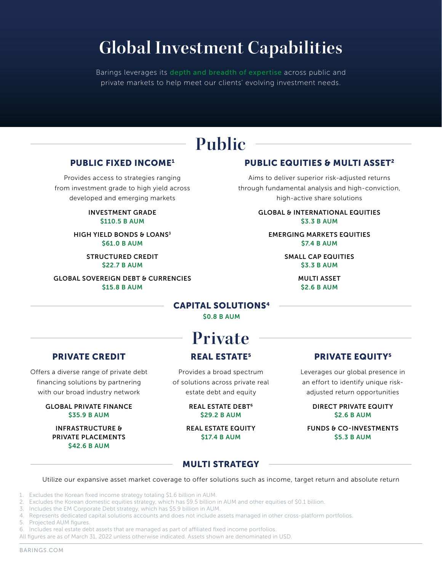### **Global Investment Capabilities**

Barings leverages its depth and breadth of expertise across public and private markets to help meet our clients' evolving investment needs.

### **Public**

#### PUBLIC FIXED INCOME1

Provides access to strategies ranging from investment grade to high yield across developed and emerging markets

> INVESTMENT GRADE \$110.5 B AUM

HIGH YIELD BONDS & LOANS<sup>3</sup> \$61.0 B AUM

> STRUCTURED CREDIT \$22.7 B AUM

GLOBAL SOVEREIGN DEBT & CURRENCIES \$15.8 B AUM

#### PUBLIC EQUITIES & MULTI ASSET2

Aims to deliver superior risk-adjusted returns through fundamental analysis and high-conviction, high-active share solutions

> GLOBAL & INTERNATIONAL EQUITIES \$3.3 B AUM

EMERGING MARKETS EQUITIES \$7.4 B AUM

> SMALL CAP EQUITIES \$3.3 B AUM

> > MULTI ASSET \$2.6 B AUM

#### CAPITAL SOLUTIONS4

\$0.8 B AUM

Offers a diverse range of private debt financing solutions by partnering with our broad industry network

> GLOBAL PRIVATE FINANCE \$35.9 B AUM

INFRASTRUCTURE & PRIVATE PLACEMENTS \$42.6 B AUM

## **Private**

Provides a broad spectrum of solutions across private real estate debt and equity

#### REAL ESTATE DEBT6 \$29.2 B AUM

REAL ESTATE EQUITY \$17.4 B AUM

#### PRIVATE CREDIT **REAL ESTATE<sup>5</sup> PRIVATE EQUITY**<sup>5</sup>

Leverages our global presence in an effort to identify unique riskadjusted return opportunities

#### DIRECT PRIVATE EQUITY \$2.6 B AUM

FUNDS & CO-INVESTMENTS \$5.3 B AUM

### MULTI STRATEGY

Utilize our expansive asset market coverage to offer solutions such as income, target return and absolute return

1. Excludes the Korean fixed income strategy totaling \$1.6 billion in AUM.

- 2. Excludes the Korean domestic equities strategy, which has \$9.5 billion in AUM and other equities of \$0.1 billion.
- 3. Includes the EM Corporate Debt strategy, which has \$5.9 billion in AUM.
- 4. Represents dedicated capital solutions accounts and does not include assets managed in other cross-platform portfolios.

5. Projected AUM figures.

6. Includes real estate debt assets that are managed as part of affiliated fixed income portfolios.

All figures are as of March 31, 2022 unless otherwise indicated. Assets shown are denominated in USD.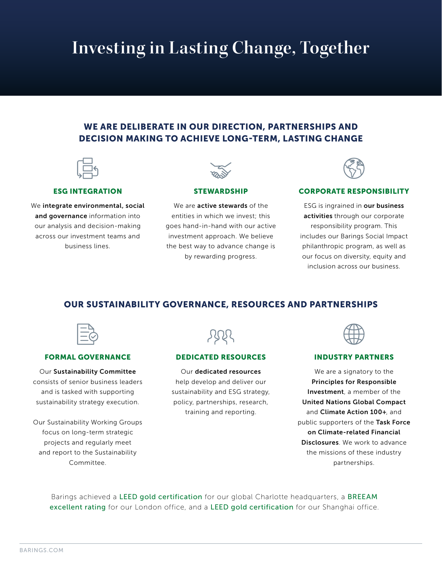### **Investing in Lasting Change, Together**

#### WE ARE DELIBERATE IN OUR DIRECTION, PARTNERSHIPS AND DECISION MAKING TO ACHIEVE LONG-TERM, LASTING CHANGE

#### ESG INTEGRATION

We integrate environmental, social and governance information into our analysis and decision-making across our investment teams and business lines.



#### **STEWARDSHIP**

We are **active stewards** of the entities in which we invest; this goes hand-in-hand with our active investment approach. We believe the best way to advance change is by rewarding progress.

### CORPORATE RESPONSIBILITY

ESG is ingrained in our business activities through our corporate responsibility program. This includes our Barings Social Impact philanthropic program, as well as our focus on diversity, equity and inclusion across our business.

### OUR SUSTAINABILITY GOVERNANCE, RESOURCES AND PARTNERSHIPS



#### FORMAL GOVERNANCE

Our Sustainability Committee consists of senior business leaders and is tasked with supporting sustainability strategy execution.

Our Sustainability Working Groups focus on long-term strategic projects and regularly meet and report to the Sustainability Committee.

#### DEDICATED RESOURCES

Our dedicated resources help develop and deliver our sustainability and ESG strategy, policy, partnerships, research, training and reporting.



#### INDUSTRY PARTNERS

We are a signatory to the Principles for Responsible Investment, a member of the United Nations Global Compact and Climate Action 100+, and public supporters of the Task Force on Climate-related Financial Disclosures. We work to advance the missions of these industry partnerships.

Barings achieved a LEED gold certification for our global Charlotte headquarters, a BREEAM excellent rating for our London office, and a LEED gold certification for our Shanghai office.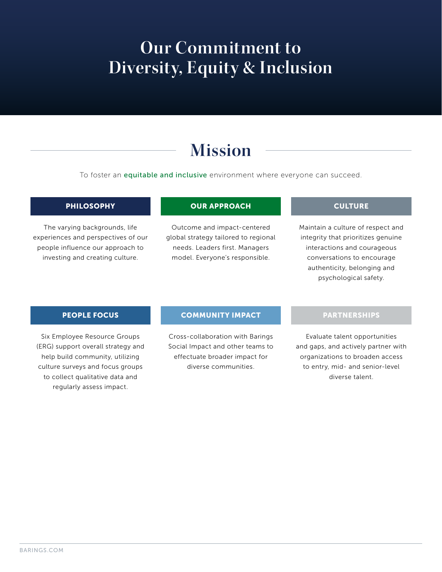### **Our Commitment to Diversity, Equity & Inclusion**

### **Mission**

To foster an equitable and inclusive environment where everyone can succeed.

#### PHILOSOPHY

The varying backgrounds, life experiences and perspectives of our people influence our approach to investing and creating culture.

#### OUR APPROACH

Outcome and impact-centered global strategy tailored to regional needs. Leaders first. Managers model. Everyone's responsible.

#### **CULTURE**

Maintain a culture of respect and integrity that prioritizes genuine interactions and courageous conversations to encourage authenticity, belonging and psychological safety.

#### PEOPLE FOCUS

Six Employee Resource Groups (ERG) support overall strategy and help build community, utilizing culture surveys and focus groups to collect qualitative data and regularly assess impact.

#### COMMUNITY IMPACT

Cross-collaboration with Barings Social Impact and other teams to effectuate broader impact for diverse communities.

Evaluate talent opportunities

PARTNERSHIPS

and gaps, and actively partner with organizations to broaden access to entry, mid- and senior-level diverse talent.